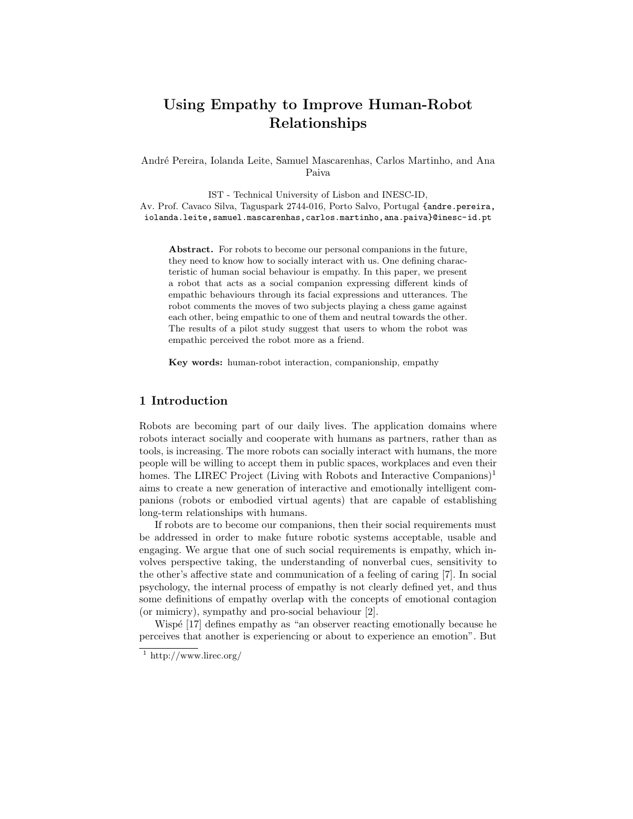# Using Empathy to Improve Human-Robot Relationships

Andr´e Pereira, Iolanda Leite, Samuel Mascarenhas, Carlos Martinho, and Ana Paiva

IST - Technical University of Lisbon and INESC-ID, Av. Prof. Cavaco Silva, Taguspark 2744-016, Porto Salvo, Portugal {andre.pereira, iolanda.leite,samuel.mascarenhas,carlos.martinho,ana.paiva}@inesc-id.pt

Abstract. For robots to become our personal companions in the future, they need to know how to socially interact with us. One defining characteristic of human social behaviour is empathy. In this paper, we present a robot that acts as a social companion expressing different kinds of empathic behaviours through its facial expressions and utterances. The robot comments the moves of two subjects playing a chess game against each other, being empathic to one of them and neutral towards the other. The results of a pilot study suggest that users to whom the robot was empathic perceived the robot more as a friend.

Key words: human-robot interaction, companionship, empathy

## 1 Introduction

Robots are becoming part of our daily lives. The application domains where robots interact socially and cooperate with humans as partners, rather than as tools, is increasing. The more robots can socially interact with humans, the more people will be willing to accept them in public spaces, workplaces and even their homes. The LIREC Project (Living with Robots and Interactive Companions)<sup>1</sup> aims to create a new generation of interactive and emotionally intelligent companions (robots or embodied virtual agents) that are capable of establishing long-term relationships with humans.

If robots are to become our companions, then their social requirements must be addressed in order to make future robotic systems acceptable, usable and engaging. We argue that one of such social requirements is empathy, which involves perspective taking, the understanding of nonverbal cues, sensitivity to the other's affective state and communication of a feeling of caring [7]. In social psychology, the internal process of empathy is not clearly defined yet, and thus some definitions of empathy overlap with the concepts of emotional contagion (or mimicry), sympathy and pro-social behaviour [2].

Wispé [17] defines empathy as "an observer reacting emotionally because he perceives that another is experiencing or about to experience an emotion". But

<sup>&</sup>lt;sup>1</sup> http://www.lirec.org/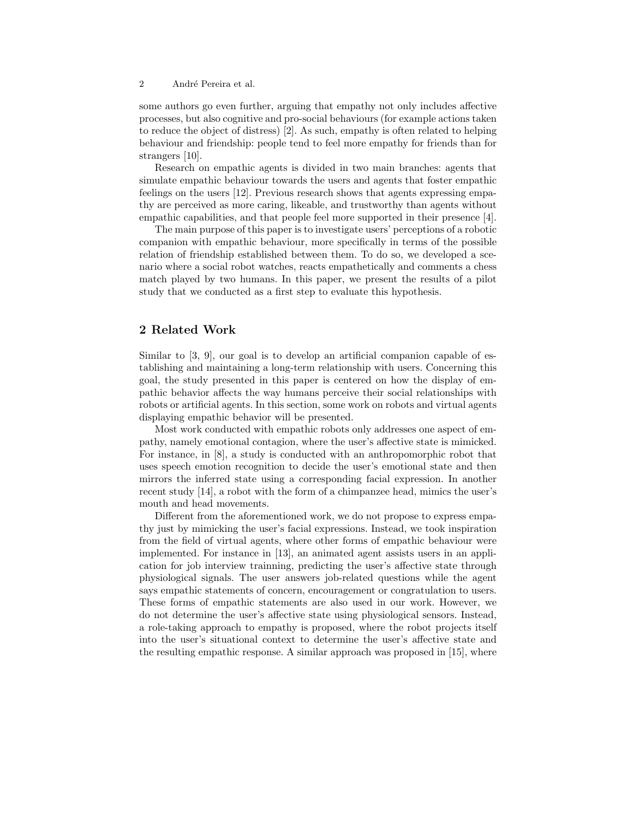2 André Pereira et al.

some authors go even further, arguing that empathy not only includes affective processes, but also cognitive and pro-social behaviours (for example actions taken to reduce the object of distress) [2]. As such, empathy is often related to helping behaviour and friendship: people tend to feel more empathy for friends than for strangers [10].

Research on empathic agents is divided in two main branches: agents that simulate empathic behaviour towards the users and agents that foster empathic feelings on the users [12]. Previous research shows that agents expressing empathy are perceived as more caring, likeable, and trustworthy than agents without empathic capabilities, and that people feel more supported in their presence [4].

The main purpose of this paper is to investigate users' perceptions of a robotic companion with empathic behaviour, more specifically in terms of the possible relation of friendship established between them. To do so, we developed a scenario where a social robot watches, reacts empathetically and comments a chess match played by two humans. In this paper, we present the results of a pilot study that we conducted as a first step to evaluate this hypothesis.

## 2 Related Work

Similar to [3, 9], our goal is to develop an artificial companion capable of establishing and maintaining a long-term relationship with users. Concerning this goal, the study presented in this paper is centered on how the display of empathic behavior affects the way humans perceive their social relationships with robots or artificial agents. In this section, some work on robots and virtual agents displaying empathic behavior will be presented.

Most work conducted with empathic robots only addresses one aspect of empathy, namely emotional contagion, where the user's affective state is mimicked. For instance, in [8], a study is conducted with an anthropomorphic robot that uses speech emotion recognition to decide the user's emotional state and then mirrors the inferred state using a corresponding facial expression. In another recent study [14], a robot with the form of a chimpanzee head, mimics the user's mouth and head movements.

Different from the aforementioned work, we do not propose to express empathy just by mimicking the user's facial expressions. Instead, we took inspiration from the field of virtual agents, where other forms of empathic behaviour were implemented. For instance in [13], an animated agent assists users in an application for job interview trainning, predicting the user's affective state through physiological signals. The user answers job-related questions while the agent says empathic statements of concern, encouragement or congratulation to users. These forms of empathic statements are also used in our work. However, we do not determine the user's affective state using physiological sensors. Instead, a role-taking approach to empathy is proposed, where the robot projects itself into the user's situational context to determine the user's affective state and the resulting empathic response. A similar approach was proposed in [15], where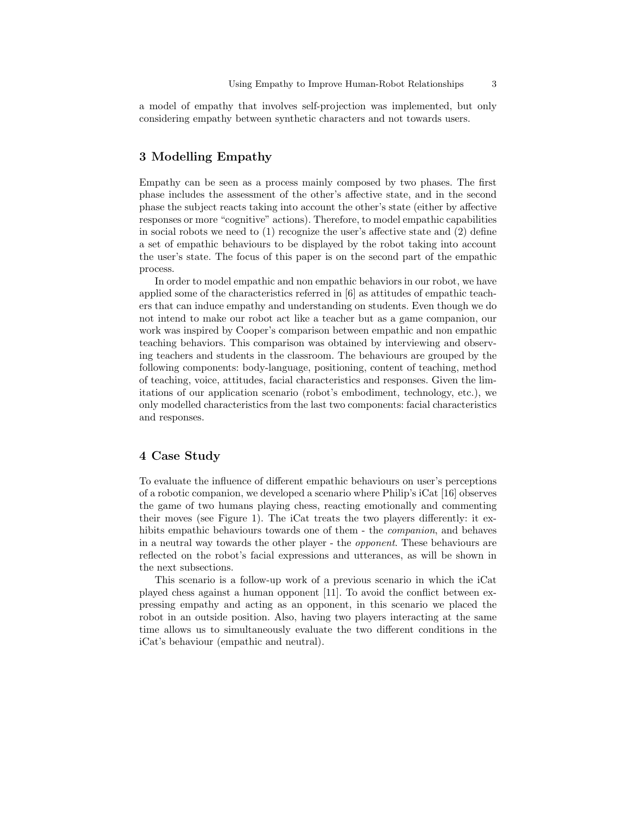a model of empathy that involves self-projection was implemented, but only considering empathy between synthetic characters and not towards users.

## 3 Modelling Empathy

Empathy can be seen as a process mainly composed by two phases. The first phase includes the assessment of the other's affective state, and in the second phase the subject reacts taking into account the other's state (either by affective responses or more "cognitive" actions). Therefore, to model empathic capabilities in social robots we need to  $(1)$  recognize the user's affective state and  $(2)$  define a set of empathic behaviours to be displayed by the robot taking into account the user's state. The focus of this paper is on the second part of the empathic process.

In order to model empathic and non empathic behaviors in our robot, we have applied some of the characteristics referred in [6] as attitudes of empathic teachers that can induce empathy and understanding on students. Even though we do not intend to make our robot act like a teacher but as a game companion, our work was inspired by Cooper's comparison between empathic and non empathic teaching behaviors. This comparison was obtained by interviewing and observing teachers and students in the classroom. The behaviours are grouped by the following components: body-language, positioning, content of teaching, method of teaching, voice, attitudes, facial characteristics and responses. Given the limitations of our application scenario (robot's embodiment, technology, etc.), we only modelled characteristics from the last two components: facial characteristics and responses.

## 4 Case Study

To evaluate the influence of different empathic behaviours on user's perceptions of a robotic companion, we developed a scenario where Philip's iCat [16] observes the game of two humans playing chess, reacting emotionally and commenting their moves (see Figure 1). The iCat treats the two players differently: it exhibits empathic behaviours towards one of them - the companion, and behaves in a neutral way towards the other player - the opponent. These behaviours are reflected on the robot's facial expressions and utterances, as will be shown in the next subsections.

This scenario is a follow-up work of a previous scenario in which the iCat played chess against a human opponent [11]. To avoid the conflict between expressing empathy and acting as an opponent, in this scenario we placed the robot in an outside position. Also, having two players interacting at the same time allows us to simultaneously evaluate the two different conditions in the iCat's behaviour (empathic and neutral).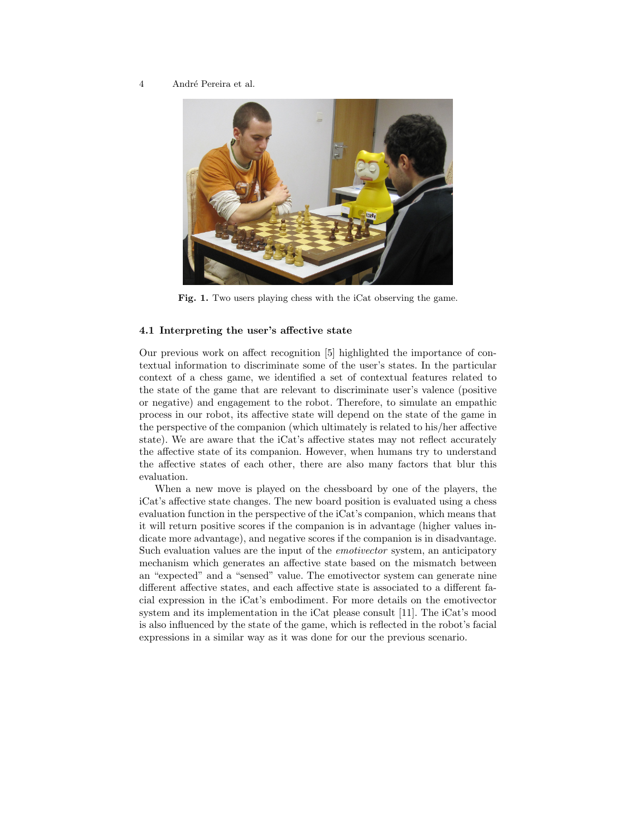4 André Pereira et al.



Fig. 1. Two users playing chess with the iCat observing the game.

### 4.1 Interpreting the user's affective state

Our previous work on affect recognition [5] highlighted the importance of contextual information to discriminate some of the user's states. In the particular context of a chess game, we identified a set of contextual features related to the state of the game that are relevant to discriminate user's valence (positive or negative) and engagement to the robot. Therefore, to simulate an empathic process in our robot, its affective state will depend on the state of the game in the perspective of the companion (which ultimately is related to his/her affective state). We are aware that the iCat's affective states may not reflect accurately the affective state of its companion. However, when humans try to understand the affective states of each other, there are also many factors that blur this evaluation.

When a new move is played on the chessboard by one of the players, the iCat's affective state changes. The new board position is evaluated using a chess evaluation function in the perspective of the iCat's companion, which means that it will return positive scores if the companion is in advantage (higher values indicate more advantage), and negative scores if the companion is in disadvantage. Such evaluation values are the input of the emotivector system, an anticipatory mechanism which generates an affective state based on the mismatch between an "expected" and a "sensed" value. The emotivector system can generate nine different affective states, and each affective state is associated to a different facial expression in the iCat's embodiment. For more details on the emotivector system and its implementation in the iCat please consult [11]. The iCat's mood is also influenced by the state of the game, which is reflected in the robot's facial expressions in a similar way as it was done for our the previous scenario.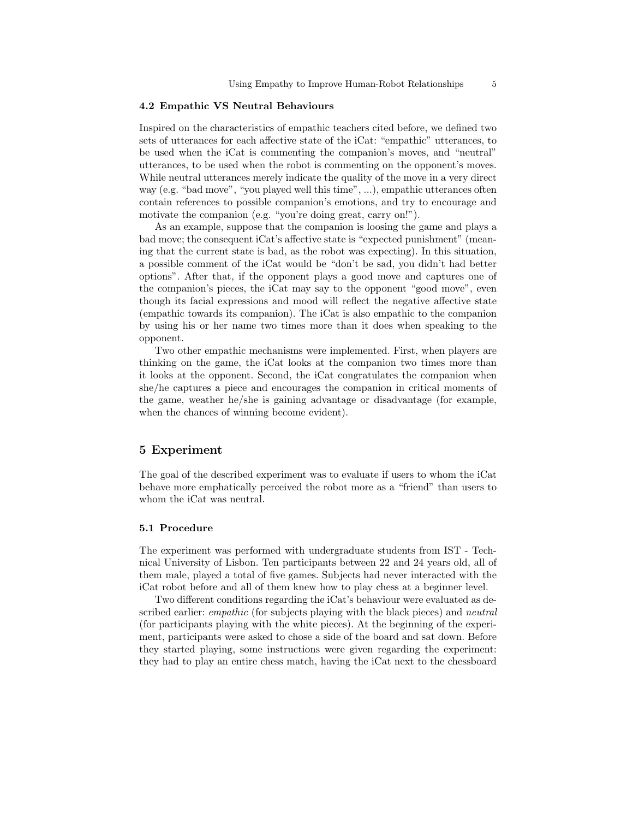#### 4.2 Empathic VS Neutral Behaviours

Inspired on the characteristics of empathic teachers cited before, we defined two sets of utterances for each affective state of the iCat: "empathic" utterances, to be used when the iCat is commenting the companion's moves, and "neutral" utterances, to be used when the robot is commenting on the opponent's moves. While neutral utterances merely indicate the quality of the move in a very direct way (e.g. "bad move", "you played well this time", ...), empathic utterances often contain references to possible companion's emotions, and try to encourage and motivate the companion (e.g. "you're doing great, carry on!").

As an example, suppose that the companion is loosing the game and plays a bad move; the consequent iCat's affective state is "expected punishment" (meaning that the current state is bad, as the robot was expecting). In this situation, a possible comment of the iCat would be "don't be sad, you didn't had better options". After that, if the opponent plays a good move and captures one of the companion's pieces, the iCat may say to the opponent "good move", even though its facial expressions and mood will reflect the negative affective state (empathic towards its companion). The iCat is also empathic to the companion by using his or her name two times more than it does when speaking to the opponent.

Two other empathic mechanisms were implemented. First, when players are thinking on the game, the iCat looks at the companion two times more than it looks at the opponent. Second, the iCat congratulates the companion when she/he captures a piece and encourages the companion in critical moments of the game, weather he/she is gaining advantage or disadvantage (for example, when the chances of winning become evident).

## 5 Experiment

The goal of the described experiment was to evaluate if users to whom the iCat behave more emphatically perceived the robot more as a "friend" than users to whom the iCat was neutral.

#### 5.1 Procedure

The experiment was performed with undergraduate students from IST - Technical University of Lisbon. Ten participants between 22 and 24 years old, all of them male, played a total of five games. Subjects had never interacted with the iCat robot before and all of them knew how to play chess at a beginner level.

Two different conditions regarding the iCat's behaviour were evaluated as described earlier: *empathic* (for subjects playing with the black pieces) and *neutral* (for participants playing with the white pieces). At the beginning of the experiment, participants were asked to chose a side of the board and sat down. Before they started playing, some instructions were given regarding the experiment: they had to play an entire chess match, having the iCat next to the chessboard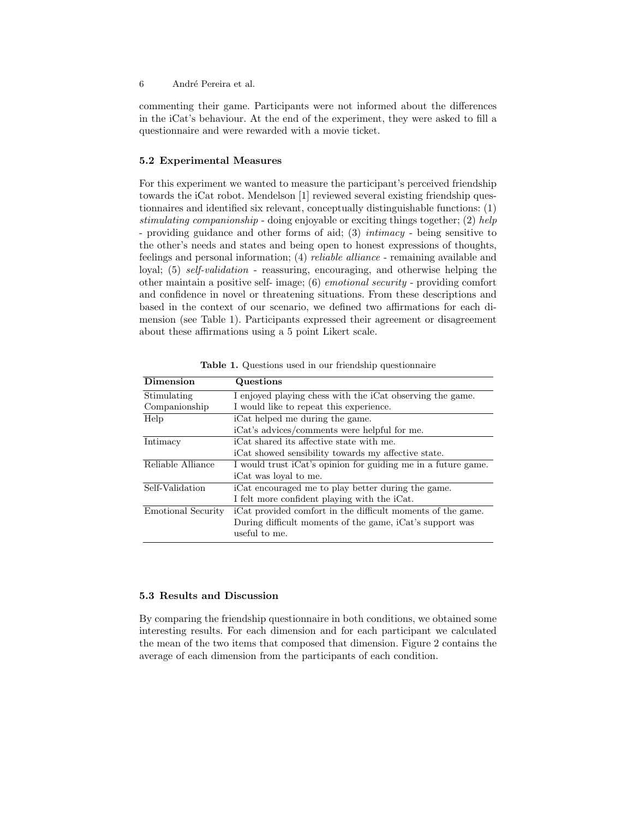commenting their game. Participants were not informed about the differences in the iCat's behaviour. At the end of the experiment, they were asked to fill a questionnaire and were rewarded with a movie ticket.

### 5.2 Experimental Measures

For this experiment we wanted to measure the participant's perceived friendship towards the iCat robot. Mendelson [1] reviewed several existing friendship questionnaires and identified six relevant, conceptually distinguishable functions: (1) stimulating companionship - doing enjoyable or exciting things together; (2) help - providing guidance and other forms of aid; (3) intimacy - being sensitive to the other's needs and states and being open to honest expressions of thoughts, feelings and personal information; (4) reliable alliance - remaining available and loyal; (5) self-validation - reassuring, encouraging, and otherwise helping the other maintain a positive self- image; (6) emotional security - providing comfort and confidence in novel or threatening situations. From these descriptions and based in the context of our scenario, we defined two affirmations for each dimension (see Table 1). Participants expressed their agreement or disagreement about these affirmations using a 5 point Likert scale.

| Dimension          | Questions                                                     |
|--------------------|---------------------------------------------------------------|
| Stimulating        | I enjoyed playing chess with the iCat observing the game.     |
| Companionship      | I would like to repeat this experience.                       |
| Help               | iCat helped me during the game.                               |
|                    | iCat's advices/comments were helpful for me.                  |
| Intimacy           | iCat shared its affective state with me.                      |
|                    | iCat showed sensibility towards my affective state.           |
| Reliable Alliance  | I would trust iCat's opinion for guiding me in a future game. |
|                    | iCat was loyal to me.                                         |
| Self-Validation    | iCat encouraged me to play better during the game.            |
|                    | I felt more confident playing with the iCat.                  |
| Emotional Security | iCat provided comfort in the difficult moments of the game.   |
|                    | During difficult moments of the game, iCat's support was      |
|                    | useful to me.                                                 |

Table 1. Questions used in our friendship questionnaire

### 5.3 Results and Discussion

By comparing the friendship questionnaire in both conditions, we obtained some interesting results. For each dimension and for each participant we calculated the mean of the two items that composed that dimension. Figure 2 contains the average of each dimension from the participants of each condition.

<sup>6</sup> André Pereira et al.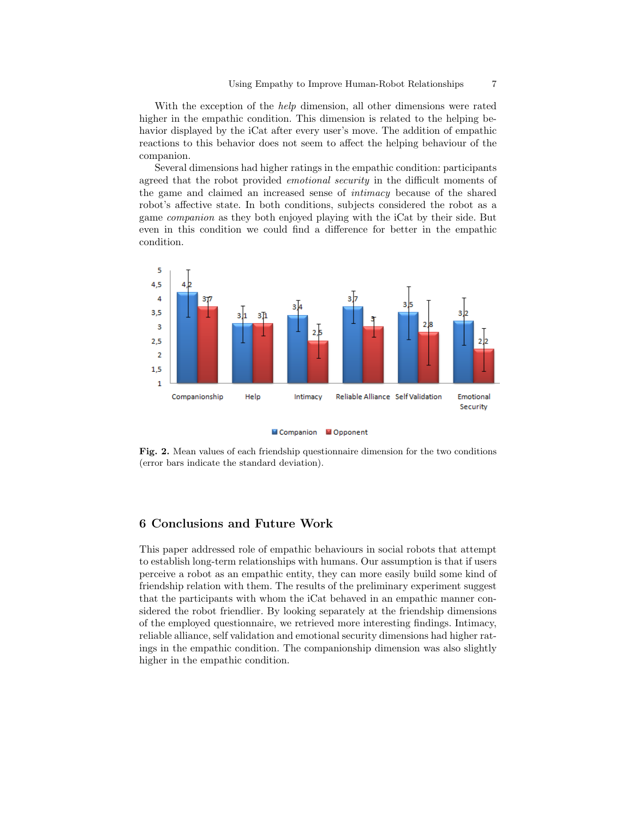With the exception of the help dimension, all other dimensions were rated higher in the empathic condition. This dimension is related to the helping behavior displayed by the iCat after every user's move. The addition of empathic reactions to this behavior does not seem to affect the helping behaviour of the companion.

Several dimensions had higher ratings in the empathic condition: participants agreed that the robot provided emotional security in the difficult moments of the game and claimed an increased sense of intimacy because of the shared robot's affective state. In both conditions, subjects considered the robot as a game companion as they both enjoyed playing with the iCat by their side. But even in this condition we could find a difference for better in the empathic condition.



Fig. 2. Mean values of each friendship questionnaire dimension for the two conditions (error bars indicate the standard deviation).

# 6 Conclusions and Future Work

This paper addressed role of empathic behaviours in social robots that attempt to establish long-term relationships with humans. Our assumption is that if users perceive a robot as an empathic entity, they can more easily build some kind of friendship relation with them. The results of the preliminary experiment suggest that the participants with whom the iCat behaved in an empathic manner considered the robot friendlier. By looking separately at the friendship dimensions of the employed questionnaire, we retrieved more interesting findings. Intimacy, reliable alliance, self validation and emotional security dimensions had higher ratings in the empathic condition. The companionship dimension was also slightly higher in the empathic condition.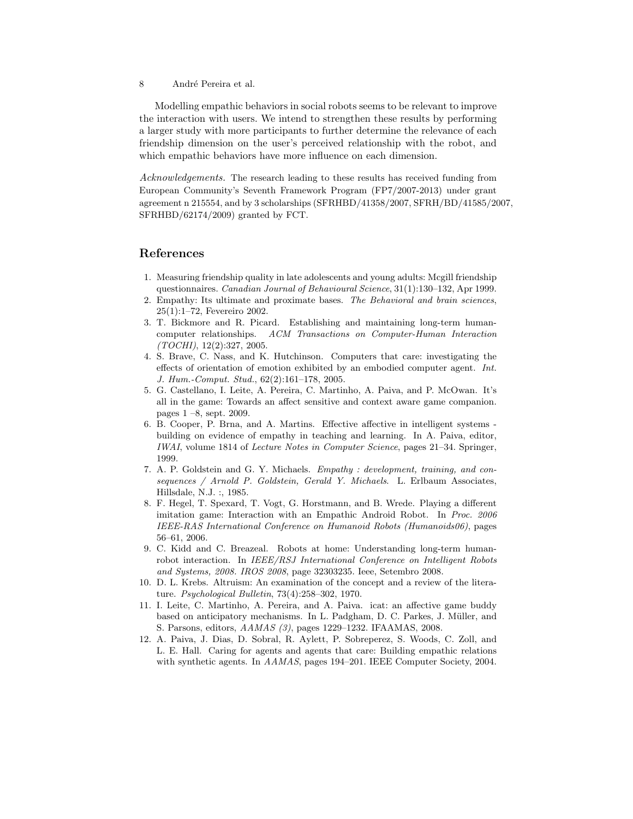Modelling empathic behaviors in social robots seems to be relevant to improve the interaction with users. We intend to strengthen these results by performing a larger study with more participants to further determine the relevance of each friendship dimension on the user's perceived relationship with the robot, and which empathic behaviors have more influence on each dimension.

Acknowledgements. The research leading to these results has received funding from European Community's Seventh Framework Program (FP7/2007-2013) under grant agreement n 215554, and by 3 scholarships (SFRHBD/41358/2007, SFRH/BD/41585/2007, SFRHBD/62174/2009) granted by FCT.

# References

- 1. Measuring friendship quality in late adolescents and young adults: Mcgill friendship questionnaires. Canadian Journal of Behavioural Science, 31(1):130–132, Apr 1999.
- 2. Empathy: Its ultimate and proximate bases. The Behavioral and brain sciences, 25(1):1–72, Fevereiro 2002.
- 3. T. Bickmore and R. Picard. Establishing and maintaining long-term humancomputer relationships. ACM Transactions on Computer-Human Interaction (TOCHI), 12(2):327, 2005.
- 4. S. Brave, C. Nass, and K. Hutchinson. Computers that care: investigating the effects of orientation of emotion exhibited by an embodied computer agent. Int. J. Hum.-Comput. Stud., 62(2):161–178, 2005.
- 5. G. Castellano, I. Leite, A. Pereira, C. Martinho, A. Paiva, and P. McOwan. It's all in the game: Towards an affect sensitive and context aware game companion. pages 1 –8, sept. 2009.
- 6. B. Cooper, P. Brna, and A. Martins. Effective affective in intelligent systems building on evidence of empathy in teaching and learning. In A. Paiva, editor, IWAI, volume 1814 of Lecture Notes in Computer Science, pages 21–34. Springer, 1999.
- 7. A. P. Goldstein and G. Y. Michaels. Empathy : development, training, and consequences / Arnold P. Goldstein, Gerald Y. Michaels. L. Erlbaum Associates, Hillsdale, N.J. :, 1985.
- 8. F. Hegel, T. Spexard, T. Vogt, G. Horstmann, and B. Wrede. Playing a different imitation game: Interaction with an Empathic Android Robot. In Proc. 2006 IEEE-RAS International Conference on Humanoid Robots (Humanoids06), pages 56–61, 2006.
- 9. C. Kidd and C. Breazeal. Robots at home: Understanding long-term humanrobot interaction. In IEEE/RSJ International Conference on Intelligent Robots and Systems, 2008. IROS 2008, page 32303235. Ieee, Setembro 2008.
- 10. D. L. Krebs. Altruism: An examination of the concept and a review of the literature. Psychological Bulletin, 73(4):258–302, 1970.
- 11. I. Leite, C. Martinho, A. Pereira, and A. Paiva. icat: an affective game buddy based on anticipatory mechanisms. In L. Padgham, D. C. Parkes, J. M¨uller, and S. Parsons, editors, AAMAS (3), pages 1229–1232. IFAAMAS, 2008.
- 12. A. Paiva, J. Dias, D. Sobral, R. Aylett, P. Sobreperez, S. Woods, C. Zoll, and L. E. Hall. Caring for agents and agents that care: Building empathic relations with synthetic agents. In  $AAMAS$ , pages 194–201. IEEE Computer Society, 2004.

<sup>8</sup> André Pereira et al.